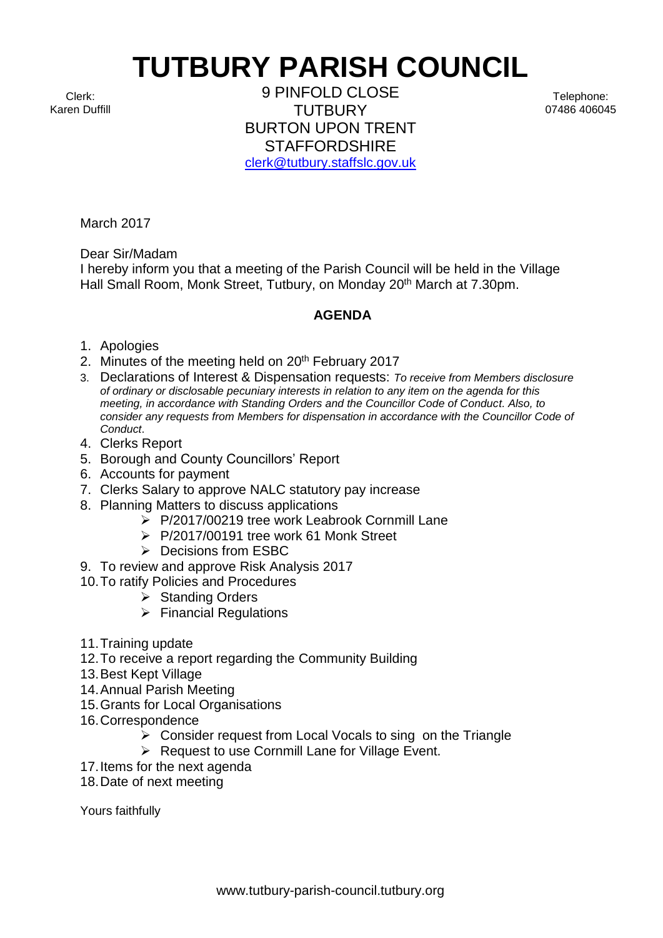## **TUTBURY PARISH COUNCIL**

Clerk: Karen Duffill

9 PINFOLD CLOSE **TUTBURY** BURTON UPON TRENT **STAFFORDSHIRE** [clerk@tutbury.staffslc.gov.uk](mailto:clerk@tutbury.staffslc.gov.uk)

March 2017

Dear Sir/Madam

I hereby inform you that a meeting of the Parish Council will be held in the Village Hall Small Room, Monk Street, Tutbury, on Monday 20<sup>th</sup> March at 7.30pm.

## **AGENDA**

- 1. Apologies
- 2. Minutes of the meeting held on 20<sup>th</sup> February 2017
- 3. Declarations of Interest & Dispensation requests: *To receive from Members disclosure of ordinary or disclosable pecuniary interests in relation to any item on the agenda for this meeting, in accordance with Standing Orders and the Councillor Code of Conduct. Also, to consider any requests from Members for dispensation in accordance with the Councillor Code of Conduct*.
- 4. Clerks Report
- 5. Borough and County Councillors' Report
- 6. Accounts for payment
- 7. Clerks Salary to approve NALC statutory pay increase
- 8. Planning Matters to discuss applications
	- ➢ P/2017/00219 tree work Leabrook Cornmill Lane
	- ➢ P/2017/00191 tree work 61 Monk Street
	- ➢ Decisions from ESBC
- 9. To review and approve Risk Analysis 2017
- 10.To ratify Policies and Procedures
	- ➢ Standing Orders
	- ➢ Financial Regulations
- 11.Training update
- 12.To receive a report regarding the Community Building
- 13.Best Kept Village
- 14.Annual Parish Meeting
- 15.Grants for Local Organisations
- 16.Correspondence
	- $\triangleright$  Consider request from Local Vocals to sing on the Triangle
	- ➢ Request to use Cornmill Lane for Village Event.
- 17.Items for the next agenda
- 18.Date of next meeting

Yours faithfully

Telephone: 07486 406045